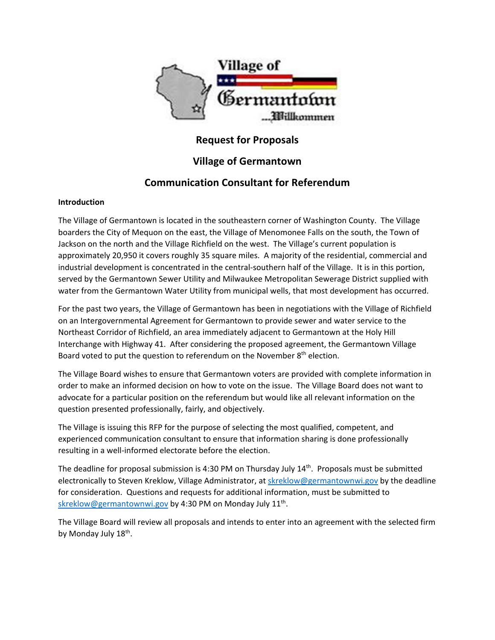

# **Request for Proposals**

## **Village of Germantown**

## **Communication Consultant for Referendum**

## **Introduction**

The Village of Germantown is located in the southeastern corner of Washington County. The Village boarders the City of Mequon on the east, the Village of Menomonee Falls on the south, the Town of Jackson on the north and the Village Richfield on the west. The Village's current population is approximately 20,950 it covers roughly 35 square miles. A majority of the residential, commercial and industrial development is concentrated in the central‐southern half of the Village. It is in this portion, served by the Germantown Sewer Utility and Milwaukee Metropolitan Sewerage District supplied with water from the Germantown Water Utility from municipal wells, that most development has occurred.

For the past two years, the Village of Germantown has been in negotiations with the Village of Richfield on an Intergovernmental Agreement for Germantown to provide sewer and water service to the Northeast Corridor of Richfield, an area immediately adjacent to Germantown at the Holy Hill Interchange with Highway 41. After considering the proposed agreement, the Germantown Village Board voted to put the question to referendum on the November 8<sup>th</sup> election.

The Village Board wishes to ensure that Germantown voters are provided with complete information in order to make an informed decision on how to vote on the issue. The Village Board does not want to advocate for a particular position on the referendum but would like all relevant information on the question presented professionally, fairly, and objectively.

The Village is issuing this RFP for the purpose of selecting the most qualified, competent, and experienced communication consultant to ensure that information sharing is done professionally resulting in a well‐informed electorate before the election.

The deadline for proposal submission is 4:30 PM on Thursday July  $14<sup>th</sup>$ . Proposals must be submitted electronically to Steven Kreklow, Village Administrator, at skreklow@germantownwi.gov by the deadline for consideration. Questions and requests for additional information, must be submitted to skreklow@germantownwi.gov by 4:30 PM on Monday July 11<sup>th</sup>.

The Village Board will review all proposals and intends to enter into an agreement with the selected firm by Monday July 18<sup>th</sup>.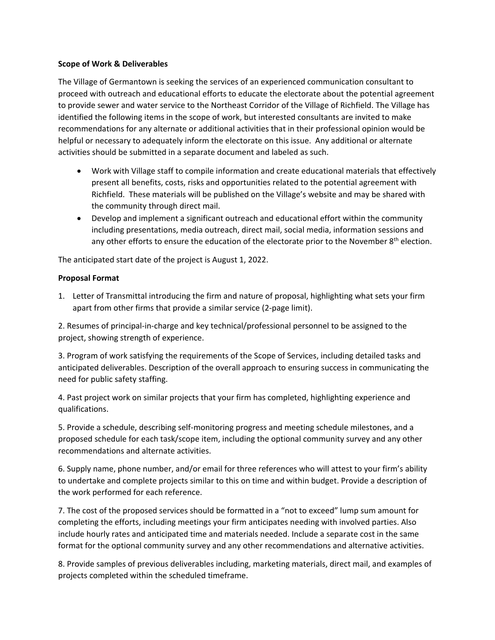### **Scope of Work & Deliverables**

The Village of Germantown is seeking the services of an experienced communication consultant to proceed with outreach and educational efforts to educate the electorate about the potential agreement to provide sewer and water service to the Northeast Corridor of the Village of Richfield. The Village has identified the following items in the scope of work, but interested consultants are invited to make recommendations for any alternate or additional activities that in their professional opinion would be helpful or necessary to adequately inform the electorate on this issue. Any additional or alternate activities should be submitted in a separate document and labeled as such.

- Work with Village staff to compile information and create educational materials that effectively present all benefits, costs, risks and opportunities related to the potential agreement with Richfield. These materials will be published on the Village's website and may be shared with the community through direct mail.
- Develop and implement a significant outreach and educational effort within the community including presentations, media outreach, direct mail, social media, information sessions and any other efforts to ensure the education of the electorate prior to the November 8<sup>th</sup> election.

The anticipated start date of the project is August 1, 2022.

### **Proposal Format**

1. Letter of Transmittal introducing the firm and nature of proposal, highlighting what sets your firm apart from other firms that provide a similar service (2‐page limit).

2. Resumes of principal‐in‐charge and key technical/professional personnel to be assigned to the project, showing strength of experience.

3. Program of work satisfying the requirements of the Scope of Services, including detailed tasks and anticipated deliverables. Description of the overall approach to ensuring success in communicating the need for public safety staffing.

4. Past project work on similar projects that your firm has completed, highlighting experience and qualifications.

5. Provide a schedule, describing self-monitoring progress and meeting schedule milestones, and a proposed schedule for each task/scope item, including the optional community survey and any other recommendations and alternate activities.

6. Supply name, phone number, and/or email for three references who will attest to your firm's ability to undertake and complete projects similar to this on time and within budget. Provide a description of the work performed for each reference.

7. The cost of the proposed services should be formatted in a "not to exceed" lump sum amount for completing the efforts, including meetings your firm anticipates needing with involved parties. Also include hourly rates and anticipated time and materials needed. Include a separate cost in the same format for the optional community survey and any other recommendations and alternative activities.

8. Provide samples of previous deliverables including, marketing materials, direct mail, and examples of projects completed within the scheduled timeframe.